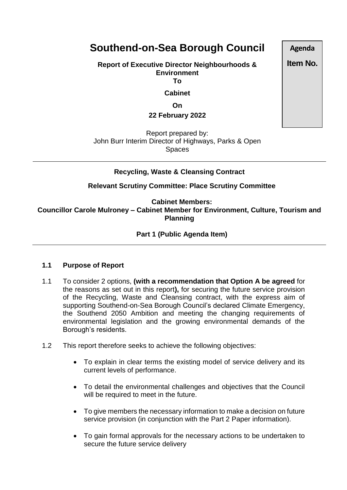# **Southend-on-Sea Borough Council**

**Report of Executive Director Neighbourhoods & Environment To**

**Cabinet**

**On**

**22 February 2022**

Report prepared by: John Burr Interim Director of Highways, Parks & Open Spaces

# **Recycling, Waste & Cleansing Contract**

**Relevant Scrutiny Committee: Place Scrutiny Committee**

**Cabinet Members: Councillor Carole Mulroney – Cabinet Member for Environment, Culture, Tourism and Planning**

**Part 1 (Public Agenda Item)** 

# **1.1 Purpose of Report**

- 1.1 To consider 2 options, **(with a recommendation that Option A be agreed** for the reasons as set out in this report**),** for securing the future service provision of the Recycling, Waste and Cleansing contract, with the express aim of supporting Southend-on-Sea Borough Council's declared Climate Emergency, the Southend 2050 Ambition and meeting the changing requirements of environmental legislation and the growing environmental demands of the Borough's residents.
- 1.2 This report therefore seeks to achieve the following objectives:
	- To explain in clear terms the existing model of service delivery and its current levels of performance.
	- To detail the environmental challenges and objectives that the Council will be required to meet in the future.
	- To give members the necessary information to make a decision on future service provision (in conjunction with the Part 2 Paper information).
	- To gain formal approvals for the necessary actions to be undertaken to secure the future service delivery

**Agenda**

**Item No.**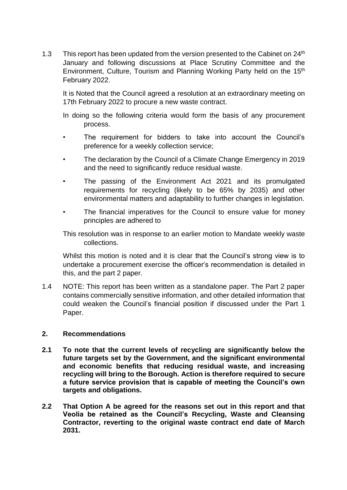1.3 This report has been updated from the version presented to the Cabinet on 24<sup>th</sup> January and following discussions at Place Scrutiny Committee and the Environment, Culture, Tourism and Planning Working Party held on the 15th February 2022.

It is Noted that the Council agreed a resolution at an extraordinary meeting on 17th February 2022 to procure a new waste contract.

In doing so the following criteria would form the basis of any procurement process.

- The requirement for bidders to take into account the Council's preference for a weekly collection service;
- The declaration by the Council of a Climate Change Emergency in 2019 and the need to significantly reduce residual waste.
- The passing of the Environment Act 2021 and its promulgated requirements for recycling (likely to be 65% by 2035) and other environmental matters and adaptability to further changes in legislation.
- The financial imperatives for the Council to ensure value for money principles are adhered to

This resolution was in response to an earlier motion to Mandate weekly waste collections.

Whilst this motion is noted and it is clear that the Council's strong view is to undertake a procurement exercise the officer's recommendation is detailed in this, and the part 2 paper.

1.4 NOTE: This report has been written as a standalone paper. The Part 2 paper contains commercially sensitive information, and other detailed information that could weaken the Council's financial position if discussed under the Part 1 Paper.

# **2. Recommendations**

- **2.1 To note that the current levels of recycling are significantly below the future targets set by the Government, and the significant environmental and economic benefits that reducing residual waste, and increasing recycling will bring to the Borough. Action is therefore required to secure a future service provision that is capable of meeting the Council's own targets and obligations.**
- **2.2 That Option A be agreed for the reasons set out in this report and that Veolia be retained as the Council's Recycling, Waste and Cleansing Contractor, reverting to the original waste contract end date of March 2031.**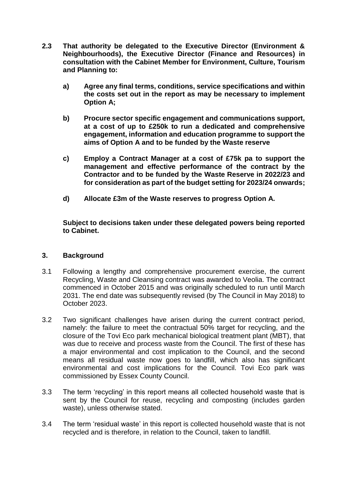- **2.3 That authority be delegated to the Executive Director (Environment & Neighbourhoods), the Executive Director (Finance and Resources) in consultation with the Cabinet Member for Environment, Culture, Tourism and Planning to:**
	- **a) Agree any final terms, conditions, service specifications and within the costs set out in the report as may be necessary to implement Option A;**
	- **b) Procure sector specific engagement and communications support, at a cost of up to £250k to run a dedicated and comprehensive engagement, information and education programme to support the aims of Option A and to be funded by the Waste reserve**
	- **c) Employ a Contract Manager at a cost of £75k pa to support the management and effective performance of the contract by the Contractor and to be funded by the Waste Reserve in 2022/23 and for consideration as part of the budget setting for 2023/24 onwards;**
	- **d) Allocate £3m of the Waste reserves to progress Option A.**

**Subject to decisions taken under these delegated powers being reported to Cabinet.**

# **3. Background**

- 3.1 Following a lengthy and comprehensive procurement exercise, the current Recycling, Waste and Cleansing contract was awarded to Veolia. The contract commenced in October 2015 and was originally scheduled to run until March 2031. The end date was subsequently revised (by The Council in May 2018) to October 2023.
- 3.2 Two significant challenges have arisen during the current contract period, namely: the failure to meet the contractual 50% target for recycling, and the closure of the Tovi Eco park mechanical biological treatment plant (MBT), that was due to receive and process waste from the Council. The first of these has a major environmental and cost implication to the Council, and the second means all residual waste now goes to landfill, which also has significant environmental and cost implications for the Council. Tovi Eco park was commissioned by Essex County Council.
- 3.3 The term 'recycling' in this report means all collected household waste that is sent by the Council for reuse, recycling and composting (includes garden waste), unless otherwise stated.
- 3.4 The term 'residual waste' in this report is collected household waste that is not recycled and is therefore, in relation to the Council, taken to landfill.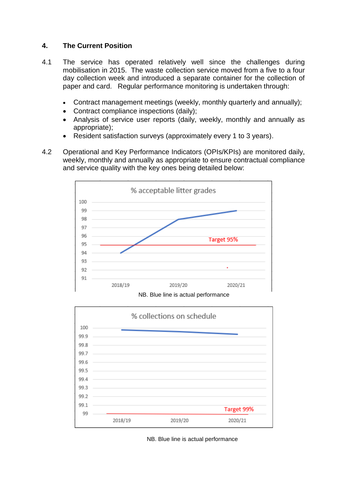# **4. The Current Position**

- 4.1 The service has operated relatively well since the challenges during mobilisation in 2015. The waste collection service moved from a five to a four day collection week and introduced a separate container for the collection of paper and card. Regular performance monitoring is undertaken through:
	- Contract management meetings (weekly, monthly quarterly and annually);
	- Contract compliance inspections (daily);
	- Analysis of service user reports (daily, weekly, monthly and annually as appropriate);
	- Resident satisfaction surveys (approximately every 1 to 3 years).
- 4.2 Operational and Key Performance Indicators (OPIs/KPIs) are monitored daily, weekly, monthly and annually as appropriate to ensure contractual compliance and service quality with the key ones being detailed below:



NB. Blue line is actual performance



NB. Blue line is actual performance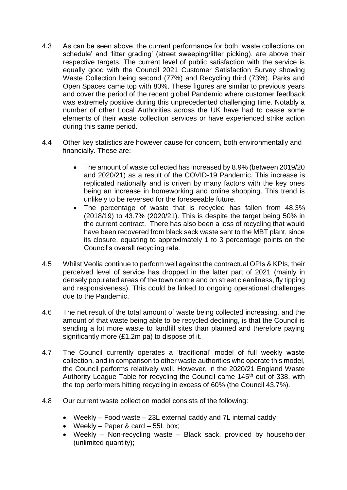- 4.3 As can be seen above, the current performance for both 'waste collections on schedule' and 'litter grading' (street sweeping/litter picking), are above their respective targets. The current level of public satisfaction with the service is equally good with the Council 2021 Customer Satisfaction Survey showing Waste Collection being second (77%) and Recycling third (73%). Parks and Open Spaces came top with 80%. These figures are similar to previous years and cover the period of the recent global Pandemic where customer feedback was extremely positive during this unprecedented challenging time. Notably a number of other Local Authorities across the UK have had to cease some elements of their waste collection services or have experienced strike action during this same period.
- 4.4 Other key statistics are however cause for concern, both environmentally and financially. These are:
	- The amount of waste collected has increased by 8.9% (between 2019/20 and 2020/21) as a result of the COVID-19 Pandemic. This increase is replicated nationally and is driven by many factors with the key ones being an increase in homeworking and online shopping. This trend is unlikely to be reversed for the foreseeable future.
	- The percentage of waste that is recycled has fallen from 48.3% (2018/19) to 43.7% (2020/21). This is despite the target being 50% in the current contract. There has also been a loss of recycling that would have been recovered from black sack waste sent to the MBT plant, since its closure, equating to approximately 1 to 3 percentage points on the Council's overall recycling rate.
- 4.5 Whilst Veolia continue to perform well against the contractual OPIs & KPIs, their perceived level of service has dropped in the latter part of 2021 (mainly in densely populated areas of the town centre and on street cleanliness, fly tipping and responsiveness). This could be linked to ongoing operational challenges due to the Pandemic.
- 4.6 The net result of the total amount of waste being collected increasing, and the amount of that waste being able to be recycled declining, is that the Council is sending a lot more waste to landfill sites than planned and therefore paying significantly more (£1.2m pa) to dispose of it.
- 4.7 The Council currently operates a 'traditional' model of full weekly waste collection, and in comparison to other waste authorities who operate this model, the Council performs relatively well. However, in the 2020/21 England Waste Authority League Table for recycling the Council came 145<sup>th</sup> out of 338, with the top performers hitting recycling in excess of 60% (the Council 43.7%).
- 4.8 Our current waste collection model consists of the following:
	- Weekly Food waste 23L external caddy and 7L internal caddy;
	- Weekly Paper & card 55L box;
	- Weekly Non-recycling waste Black sack, provided by householder (unlimited quantity);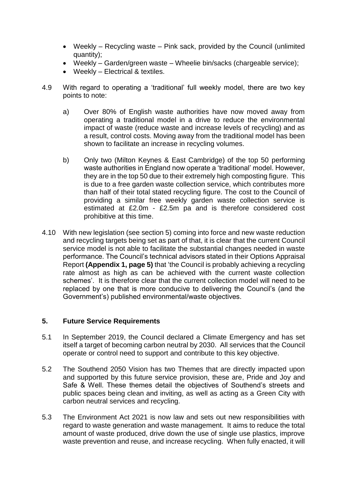- Weekly Recycling waste Pink sack, provided by the Council (unlimited quantity);
- Weekly Garden/green waste Wheelie bin/sacks (chargeable service);
- Weekly Electrical & textiles.
- 4.9 With regard to operating a 'traditional' full weekly model, there are two key points to note:
	- a) Over 80% of English waste authorities have now moved away from operating a traditional model in a drive to reduce the environmental impact of waste (reduce waste and increase levels of recycling) and as a result, control costs. Moving away from the traditional model has been shown to facilitate an increase in recycling volumes.
	- b) Only two (Milton Keynes & East Cambridge) of the top 50 performing waste authorities in England now operate a 'traditional' model. However, they are in the top 50 due to their extremely high composting figure. This is due to a free garden waste collection service, which contributes more than half of their total stated recycling figure. The cost to the Council of providing a similar free weekly garden waste collection service is estimated at £2.0m - £2.5m pa and is therefore considered cost prohibitive at this time.
- 4.10 With new legislation (see section 5) coming into force and new waste reduction and recycling targets being set as part of that, it is clear that the current Council service model is not able to facilitate the substantial changes needed in waste performance. The Council's technical advisors stated in their Options Appraisal Report **(Appendix 1, page 5)** that 'the Council is probably achieving a recycling rate almost as high as can be achieved with the current waste collection schemes'. It is therefore clear that the current collection model will need to be replaced by one that is more conducive to delivering the Council's (and the Government's) published environmental/waste objectives.

# **5. Future Service Requirements**

- 5.1 In September 2019, the Council declared a Climate Emergency and has set itself a target of becoming carbon neutral by 2030. All services that the Council operate or control need to support and contribute to this key objective.
- 5.2 The Southend 2050 Vision has two Themes that are directly impacted upon and supported by this future service provision, these are, Pride and Joy and Safe & Well. These themes detail the objectives of Southend's streets and public spaces being clean and inviting, as well as acting as a Green City with carbon neutral services and recycling.
- 5.3 The Environment Act 2021 is now law and sets out new responsibilities with regard to waste generation and waste management. It aims to reduce the total amount of waste produced, drive down the use of single use plastics, improve waste prevention and reuse, and increase recycling. When fully enacted, it will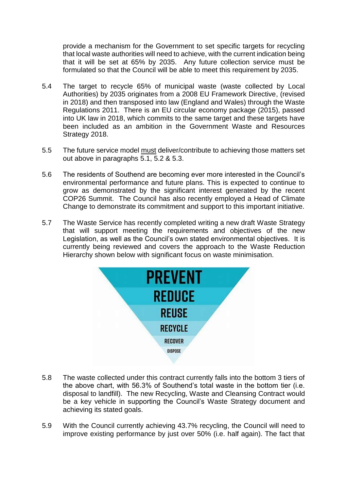provide a mechanism for the Government to set specific targets for recycling that local waste authorities will need to achieve, with the current indication being that it will be set at 65% by 2035. Any future collection service must be formulated so that the Council will be able to meet this requirement by 2035.

- 5.4 The target to recycle 65% of municipal waste (waste collected by Local Authorities) by 2035 originates from a 2008 EU Framework Directive, (revised in 2018) and then transposed into law (England and Wales) through the Waste Regulations 2011. There is an EU circular economy package (2015), passed into UK law in 2018, which commits to the same target and these targets have been included as an ambition in the Government Waste and Resources Strategy 2018.
- 5.5 The future service model must deliver/contribute to achieving those matters set out above in paragraphs 5.1, 5.2 & 5.3.
- 5.6 The residents of Southend are becoming ever more interested in the Council's environmental performance and future plans. This is expected to continue to grow as demonstrated by the significant interest generated by the recent COP26 Summit. The Council has also recently employed a Head of Climate Change to demonstrate its commitment and support to this important initiative.
- 5.7 The Waste Service has recently completed writing a new draft Waste Strategy that will support meeting the requirements and objectives of the new Legislation, as well as the Council's own stated environmental objectives. It is currently being reviewed and covers the approach to the Waste Reduction Hierarchy shown below with significant focus on waste minimisation.



- 5.8 The waste collected under this contract currently falls into the bottom 3 tiers of the above chart, with 56.3% of Southend's total waste in the bottom tier (i.e. disposal to landfill). The new Recycling, Waste and Cleansing Contract would be a key vehicle in supporting the Council's Waste Strategy document and achieving its stated goals.
- 5.9 With the Council currently achieving 43.7% recycling, the Council will need to improve existing performance by just over 50% (i.e. half again). The fact that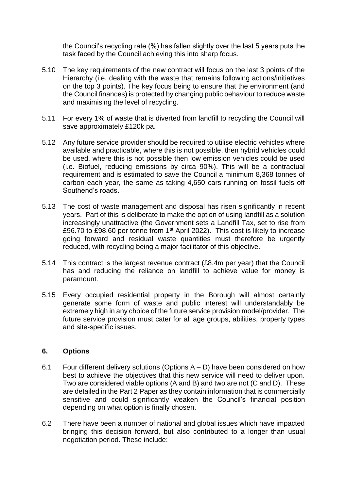the Council's recycling rate (%) has fallen slightly over the last 5 years puts the task faced by the Council achieving this into sharp focus.

- 5.10 The key requirements of the new contract will focus on the last 3 points of the Hierarchy (i.e. dealing with the waste that remains following actions/initiatives on the top 3 points). The key focus being to ensure that the environment (and the Council finances) is protected by changing public behaviour to reduce waste and maximising the level of recycling.
- 5.11 For every 1% of waste that is diverted from landfill to recycling the Council will save approximately £120k pa.
- 5.12 Any future service provider should be required to utilise electric vehicles where available and practicable, where this is not possible, then hybrid vehicles could be used, where this is not possible then low emission vehicles could be used (i.e. Biofuel, reducing emissions by circa 90%). This will be a contractual requirement and is estimated to save the Council a minimum 8,368 tonnes of carbon each year, the same as taking 4,650 cars running on fossil fuels off Southend's roads.
- 5.13 The cost of waste management and disposal has risen significantly in recent years. Part of this is deliberate to make the option of using landfill as a solution increasingly unattractive (the Government sets a Landfill Tax, set to rise from £96.70 to £98.60 per tonne from 1<sup>st</sup> April 2022). This cost is likely to increase going forward and residual waste quantities must therefore be urgently reduced, with recycling being a major facilitator of this objective.
- 5.14 This contract is the largest revenue contract (£8.4m per year) that the Council has and reducing the reliance on landfill to achieve value for money is paramount.
- 5.15 Every occupied residential property in the Borough will almost certainly generate some form of waste and public interest will understandably be extremely high in any choice of the future service provision model/provider. The future service provision must cater for all age groups, abilities, property types and site-specific issues.

# **6. Options**

- 6.1 Four different delivery solutions (Options A D) have been considered on how best to achieve the objectives that this new service will need to deliver upon. Two are considered viable options (A and B) and two are not (C and D). These are detailed in the Part 2 Paper as they contain information that is commercially sensitive and could significantly weaken the Council's financial position depending on what option is finally chosen.
- 6.2 There have been a number of national and global issues which have impacted bringing this decision forward, but also contributed to a longer than usual negotiation period. These include: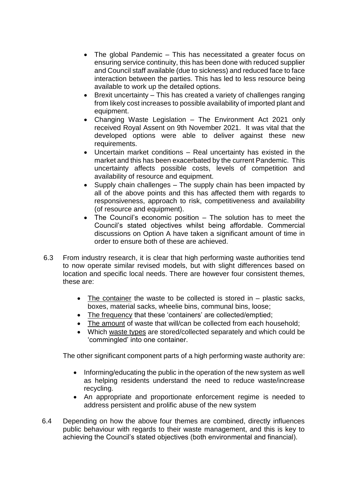- The global Pandemic This has necessitated a greater focus on ensuring service continuity, this has been done with reduced supplier and Council staff available (due to sickness) and reduced face to face interaction between the parties. This has led to less resource being available to work up the detailed options.
- Brexit uncertainty This has created a variety of challenges ranging from likely cost increases to possible availability of imported plant and equipment.
- Changing Waste Legislation The Environment Act 2021 only received Royal Assent on 9th November 2021. It was vital that the developed options were able to deliver against these new requirements.
- Uncertain market conditions Real uncertainty has existed in the market and this has been exacerbated by the current Pandemic. This uncertainty affects possible costs, levels of competition and availability of resource and equipment.
- Supply chain challenges The supply chain has been impacted by all of the above points and this has affected them with regards to responsiveness, approach to risk, competitiveness and availability (of resource and equipment).
- The Council's economic position The solution has to meet the Council's stated objectives whilst being affordable. Commercial discussions on Option A have taken a significant amount of time in order to ensure both of these are achieved.
- 6.3 From industry research, it is clear that high performing waste authorities tend to now operate similar revised models, but with slight differences based on location and specific local needs. There are however four consistent themes, these are:
	- $\bullet$  The container the waste to be collected is stored in  $-$  plastic sacks, boxes, material sacks, wheelie bins, communal bins, loose;
	- The frequency that these 'containers' are collected/emptied;
	- The amount of waste that will/can be collected from each household;
	- Which waste types are stored/collected separately and which could be 'commingled' into one container.

The other significant component parts of a high performing waste authority are:

- Informing/educating the public in the operation of the new system as well as helping residents understand the need to reduce waste/increase recycling.
- An appropriate and proportionate enforcement regime is needed to address persistent and prolific abuse of the new system
- 6.4 Depending on how the above four themes are combined, directly influences public behaviour with regards to their waste management, and this is key to achieving the Council's stated objectives (both environmental and financial).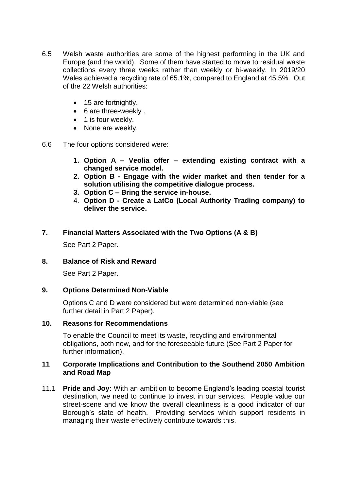- 6.5 Welsh waste authorities are some of the highest performing in the UK and Europe (and the world). Some of them have started to move to residual waste collections every three weeks rather than weekly or bi-weekly. In 2019/20 Wales achieved a recycling rate of 65.1%, compared to England at 45.5%. Out of the 22 Welsh authorities:
	- 15 are fortnightly.
	- 6 are three-weekly .
	- 1 is four weekly.
	- None are weekly.
- 6.6 The four options considered were:
	- **1. Option A – Veolia offer – extending existing contract with a changed service model.**
	- **2. Option B - Engage with the wider market and then tender for a solution utilising the competitive dialogue process.**
	- **3. Option C – Bring the service in-house.**
	- 4. **Option D - Create a LatCo (Local Authority Trading company) to deliver the service.**

# **7. Financial Matters Associated with the Two Options (A & B)**

See Part 2 Paper.

# **8. Balance of Risk and Reward**

See Part 2 Paper.

# **9. Options Determined Non-Viable**

Options C and D were considered but were determined non-viable (see further detail in Part 2 Paper).

#### **10. Reasons for Recommendations**

To enable the Council to meet its waste, recycling and environmental obligations, both now, and for the foreseeable future (See Part 2 Paper for further information).

#### **11 Corporate Implications and Contribution to the Southend 2050 Ambition and Road Map**

11.1 **Pride and Joy:** With an ambition to become England's leading coastal tourist destination, we need to continue to invest in our services. People value our street-scene and we know the overall cleanliness is a good indicator of our Borough's state of health. Providing services which support residents in managing their waste effectively contribute towards this.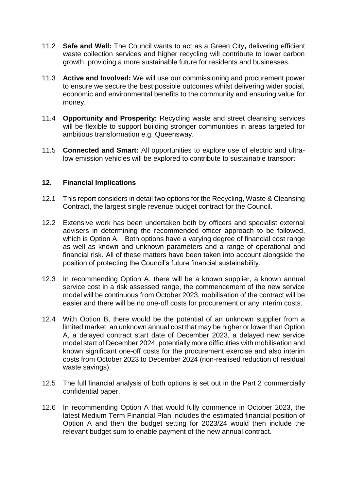- 11.2 **Safe and Well:** The Council wants to act as a Green City**,** delivering efficient waste collection services and higher recycling will contribute to lower carbon growth, providing a more sustainable future for residents and businesses.
- 11.3 **Active and Involved:** We will use our commissioning and procurement power to ensure we secure the best possible outcomes whilst delivering wider social, economic and environmental benefits to the community and ensuring value for money.
- 11.4 **Opportunity and Prosperity:** Recycling waste and street cleansing services will be flexible to support building stronger communities in areas targeted for ambitious transformation e.g. Queensway.
- 11.5 **Connected and Smart:** All opportunities to explore use of electric and ultralow emission vehicles will be explored to contribute to sustainable transport

# **12. Financial Implications**

- 12.1 This report considers in detail two options for the Recycling, Waste & Cleansing Contract, the largest single revenue budget contract for the Council.
- 12.2 Extensive work has been undertaken both by officers and specialist external advisers in determining the recommended officer approach to be followed, which is Option A. Both options have a varying degree of financial cost range as well as known and unknown parameters and a range of operational and financial risk. All of these matters have been taken into account alongside the position of protecting the Council's future financial sustainability.
- 12.3 In recommending Option A, there will be a known supplier, a known annual service cost in a risk assessed range, the commencement of the new service model will be continuous from October 2023, mobilisation of the contract will be easier and there will be no one-off costs for procurement or any interim costs.
- 12.4 With Option B, there would be the potential of an unknown supplier from a limited market, an unknown annual cost that may be higher or lower than Option A, a delayed contract start date of December 2023, a delayed new service model start of December 2024, potentially more difficulties with mobilisation and known significant one-off costs for the procurement exercise and also interim costs from October 2023 to December 2024 (non-realised reduction of residual waste savings).
- 12.5 The full financial analysis of both options is set out in the Part 2 commercially confidential paper.
- 12.6 In recommending Option A that would fully commence in October 2023, the latest Medium Term Financial Plan includes the estimated financial position of Option A and then the budget setting for 2023/24 would then include the relevant budget sum to enable payment of the new annual contract.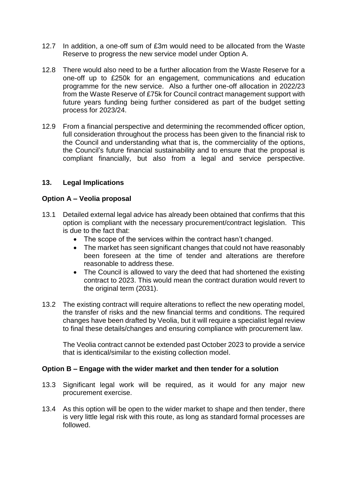- 12.7 In addition, a one-off sum of £3m would need to be allocated from the Waste Reserve to progress the new service model under Option A.
- 12.8 There would also need to be a further allocation from the Waste Reserve for a one-off up to £250k for an engagement, communications and education programme for the new service. Also a further one-off allocation in 2022/23 from the Waste Reserve of £75k for Council contract management support with future years funding being further considered as part of the budget setting process for 2023/24.
- 12.9 From a financial perspective and determining the recommended officer option, full consideration throughout the process has been given to the financial risk to the Council and understanding what that is, the commerciality of the options, the Council's future financial sustainability and to ensure that the proposal is compliant financially, but also from a legal and service perspective.

# **13. Legal Implications**

# **Option A – Veolia proposal**

- 13.1 Detailed external legal advice has already been obtained that confirms that this option is compliant with the necessary procurement/contract legislation. This is due to the fact that:
	- The scope of the services within the contract hasn't changed.
	- The market has seen significant changes that could not have reasonably been foreseen at the time of tender and alterations are therefore reasonable to address these.
	- The Council is allowed to vary the deed that had shortened the existing contract to 2023. This would mean the contract duration would revert to the original term (2031).
- 13.2 The existing contract will require alterations to reflect the new operating model, the transfer of risks and the new financial terms and conditions. The required changes have been drafted by Veolia, but it will require a specialist legal review to final these details/changes and ensuring compliance with procurement law.

The Veolia contract cannot be extended past October 2023 to provide a service that is identical/similar to the existing collection model.

# **Option B – Engage with the wider market and then tender for a solution**

- 13.3 Significant legal work will be required, as it would for any major new procurement exercise.
- 13.4 As this option will be open to the wider market to shape and then tender, there is very little legal risk with this route, as long as standard formal processes are followed.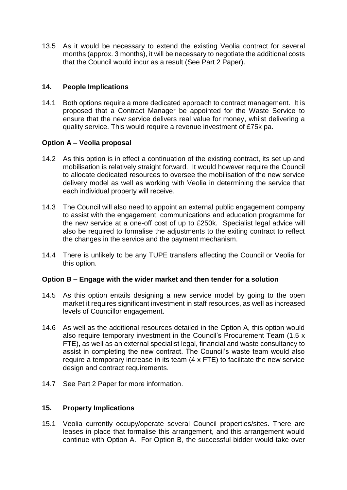13.5 As it would be necessary to extend the existing Veolia contract for several months (approx. 3 months), it will be necessary to negotiate the additional costs that the Council would incur as a result (See Part 2 Paper).

# **14. People Implications**

14.1 Both options require a more dedicated approach to contract management. It is proposed that a Contract Manager be appointed for the Waste Service to ensure that the new service delivers real value for money, whilst delivering a quality service. This would require a revenue investment of £75k pa.

# **Option A – Veolia proposal**

- 14.2 As this option is in effect a continuation of the existing contract, its set up and mobilisation is relatively straight forward. It would however require the Council to allocate dedicated resources to oversee the mobilisation of the new service delivery model as well as working with Veolia in determining the service that each individual property will receive.
- 14.3 The Council will also need to appoint an external public engagement company to assist with the engagement, communications and education programme for the new service at a one-off cost of up to £250k. Specialist legal advice will also be required to formalise the adjustments to the exiting contract to reflect the changes in the service and the payment mechanism.
- 14.4 There is unlikely to be any TUPE transfers affecting the Council or Veolia for this option.

# **Option B – Engage with the wider market and then tender for a solution**

- 14.5 As this option entails designing a new service model by going to the open market it requires significant investment in staff resources, as well as increased levels of Councillor engagement.
- 14.6 As well as the additional resources detailed in the Option A, this option would also require temporary investment in the Council's Procurement Team (1.5 x FTE), as well as an external specialist legal, financial and waste consultancy to assist in completing the new contract. The Council's waste team would also require a temporary increase in its team (4 x FTE) to facilitate the new service design and contract requirements.
- 14.7 See Part 2 Paper for more information.

# **15. Property Implications**

15.1 Veolia currently occupy/operate several Council properties/sites. There are leases in place that formalise this arrangement, and this arrangement would continue with Option A. For Option B, the successful bidder would take over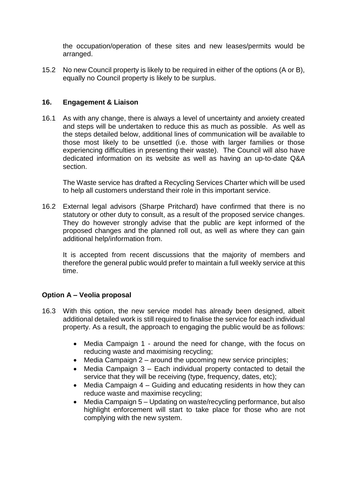the occupation/operation of these sites and new leases/permits would be arranged.

15.2 No new Council property is likely to be required in either of the options (A or B), equally no Council property is likely to be surplus.

# **16. Engagement & Liaison**

16.1 As with any change, there is always a level of uncertainty and anxiety created and steps will be undertaken to reduce this as much as possible. As well as the steps detailed below, additional lines of communication will be available to those most likely to be unsettled (i.e. those with larger families or those experiencing difficulties in presenting their waste). The Council will also have dedicated information on its website as well as having an up-to-date Q&A section.

The Waste service has drafted a Recycling Services Charter which will be used to help all customers understand their role in this important service.

16.2 External legal advisors (Sharpe Pritchard) have confirmed that there is no statutory or other duty to consult, as a result of the proposed service changes. They do however strongly advise that the public are kept informed of the proposed changes and the planned roll out, as well as where they can gain additional help/information from.

It is accepted from recent discussions that the majority of members and therefore the general public would prefer to maintain a full weekly service at this time.

# **Option A – Veolia proposal**

- 16.3 With this option, the new service model has already been designed, albeit additional detailed work is still required to finalise the service for each individual property. As a result, the approach to engaging the public would be as follows:
	- Media Campaign 1 around the need for change, with the focus on reducing waste and maximising recycling;
	- $\bullet$  Media Campaign 2 around the upcoming new service principles;
	- Media Campaign 3 Each individual property contacted to detail the service that they will be receiving (type, frequency, dates, etc);
	- Media Campaign 4 Guiding and educating residents in how they can reduce waste and maximise recycling;
	- Media Campaign 5 Updating on waste/recycling performance, but also highlight enforcement will start to take place for those who are not complying with the new system.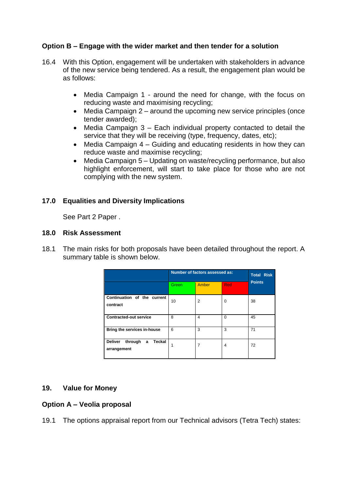# **Option B – Engage with the wider market and then tender for a solution**

- 16.4 With this Option, engagement will be undertaken with stakeholders in advance of the new service being tendered. As a result, the engagement plan would be as follows:
	- Media Campaign 1 around the need for change, with the focus on reducing waste and maximising recycling;
	- Media Campaign 2 around the upcoming new service principles (once tender awarded);
	- Media Campaign 3 Each individual property contacted to detail the service that they will be receiving (type, frequency, dates, etc);
	- Media Campaign 4 Guiding and educating residents in how they can reduce waste and maximise recycling;
	- Media Campaign 5 Updating on waste/recycling performance, but also highlight enforcement, will start to take place for those who are not complying with the new system.

# **17.0 Equalities and Diversity Implications**

See Part 2 Paper .

# **18.0 Risk Assessment**

18.1 The main risks for both proposals have been detailed throughout the report. A summary table is shown below.

|                                                         | Number of factors assessed as: |                         |            | <b>Total Risk</b> |
|---------------------------------------------------------|--------------------------------|-------------------------|------------|-------------------|
|                                                         | Green                          | Amber                   | <b>Red</b> | <b>Points</b>     |
| Continuation of the current<br>contract                 | 10                             | $\overline{2}$          | $\Omega$   | 38                |
| <b>Contracted-out service</b>                           | 8                              | $\overline{\mathbf{4}}$ | $\Omega$   | 45                |
| Bring the services in-house                             | 6                              | 3                       | 3          | 71                |
| <b>Deliver</b><br>through<br>Teckal<br>a<br>arrangement |                                | 7                       | 4          | 72                |

# **19. Value for Money**

# **Option A – Veolia proposal**

19.1 The options appraisal report from our Technical advisors (Tetra Tech) states: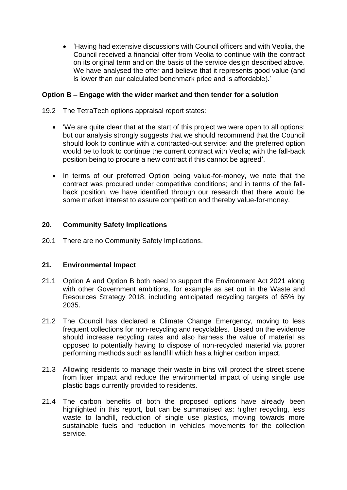'Having had extensive discussions with Council officers and with Veolia, the Council received a financial offer from Veolia to continue with the contract on its original term and on the basis of the service design described above. We have analysed the offer and believe that it represents good value (and is lower than our calculated benchmark price and is affordable).'

# **Option B – Engage with the wider market and then tender for a solution**

- 19.2 The TetraTech options appraisal report states:
	- 'We are quite clear that at the start of this project we were open to all options: but our analysis strongly suggests that we should recommend that the Council should look to continue with a contracted-out service: and the preferred option would be to look to continue the current contract with Veolia; with the fall-back position being to procure a new contract if this cannot be agreed'.
	- In terms of our preferred Option being value-for-money, we note that the contract was procured under competitive conditions; and in terms of the fallback position, we have identified through our research that there would be some market interest to assure competition and thereby value-for-money.

# **20. Community Safety Implications**

20.1 There are no Community Safety Implications.

# **21. Environmental Impact**

- 21.1 Option A and Option B both need to support the Environment Act 2021 along with other Government ambitions, for example as set out in the Waste and Resources Strategy 2018, including anticipated recycling targets of 65% by 2035.
- 21.2 The Council has declared a Climate Change Emergency, moving to less frequent collections for non-recycling and recyclables. Based on the evidence should increase recycling rates and also harness the value of material as opposed to potentially having to dispose of non-recycled material via poorer performing methods such as landfill which has a higher carbon impact.
- 21.3 Allowing residents to manage their waste in bins will protect the street scene from litter impact and reduce the environmental impact of using single use plastic bags currently provided to residents.
- 21.4 The carbon benefits of both the proposed options have already been highlighted in this report, but can be summarised as: higher recycling, less waste to landfill, reduction of single use plastics, moving towards more sustainable fuels and reduction in vehicles movements for the collection service.